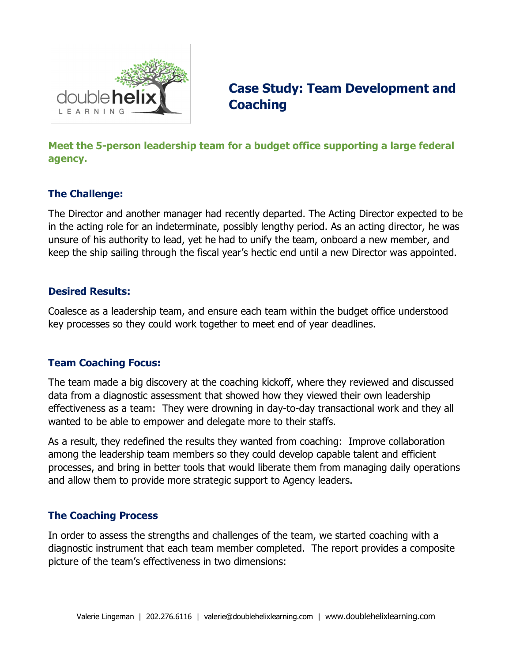

# **Case Study: Team Development and Coaching**

# **Meet the 5-person leadership team for a budget office supporting a large federal agency.**

#### **The Challenge:**

The Director and another manager had recently departed. The Acting Director expected to be in the acting role for an indeterminate, possibly lengthy period. As an acting director, he was unsure of his authority to lead, yet he had to unify the team, onboard a new member, and keep the ship sailing through the fiscal year's hectic end until a new Director was appointed.

#### **Desired Results:**

Coalesce as a leadership team, and ensure each team within the budget office understood key processes so they could work together to meet end of year deadlines.

#### **Team Coaching Focus:**

The team made a big discovery at the coaching kickoff, where they reviewed and discussed data from a diagnostic assessment that showed how they viewed their own leadership effectiveness as a team: They were drowning in day-to-day transactional work and they all wanted to be able to empower and delegate more to their staffs.

As a result, they redefined the results they wanted from coaching: Improve collaboration among the leadership team members so they could develop capable talent and efficient processes, and bring in better tools that would liberate them from managing daily operations and allow them to provide more strategic support to Agency leaders.

## **The Coaching Process**

In order to assess the strengths and challenges of the team, we started coaching with a diagnostic instrument that each team member completed. The report provides a composite picture of the team's effectiveness in two dimensions: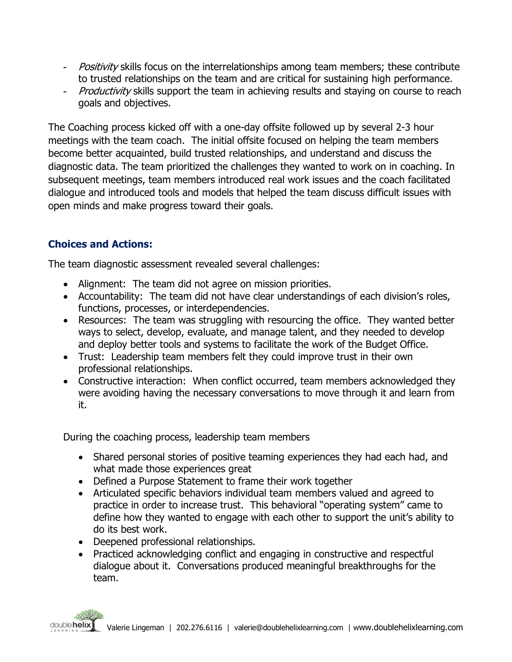- *Positivity* skills focus on the interrelationships among team members; these contribute to trusted relationships on the team and are critical for sustaining high performance.
- Productivity skills support the team in achieving results and staying on course to reach goals and objectives.

The Coaching process kicked off with a one-day offsite followed up by several 2-3 hour meetings with the team coach. The initial offsite focused on helping the team members become better acquainted, build trusted relationships, and understand and discuss the diagnostic data. The team prioritized the challenges they wanted to work on in coaching. In subsequent meetings, team members introduced real work issues and the coach facilitated dialogue and introduced tools and models that helped the team discuss difficult issues with open minds and make progress toward their goals.

## **Choices and Actions:**

The team diagnostic assessment revealed several challenges:

- Alignment: The team did not agree on mission priorities.
- Accountability: The team did not have clear understandings of each division's roles, functions, processes, or interdependencies.
- Resources: The team was struggling with resourcing the office. They wanted better ways to select, develop, evaluate, and manage talent, and they needed to develop and deploy better tools and systems to facilitate the work of the Budget Office.
- Trust: Leadership team members felt they could improve trust in their own professional relationships.
- Constructive interaction: When conflict occurred, team members acknowledged they were avoiding having the necessary conversations to move through it and learn from it.

During the coaching process, leadership team members

- Shared personal stories of positive teaming experiences they had each had, and what made those experiences great
- Defined a Purpose Statement to frame their work together
- Articulated specific behaviors individual team members valued and agreed to practice in order to increase trust. This behavioral "operating system" came to define how they wanted to engage with each other to support the unit's ability to do its best work.
- Deepened professional relationships.
- Practiced acknowledging conflict and engaging in constructive and respectful dialogue about it. Conversations produced meaningful breakthroughs for the team.